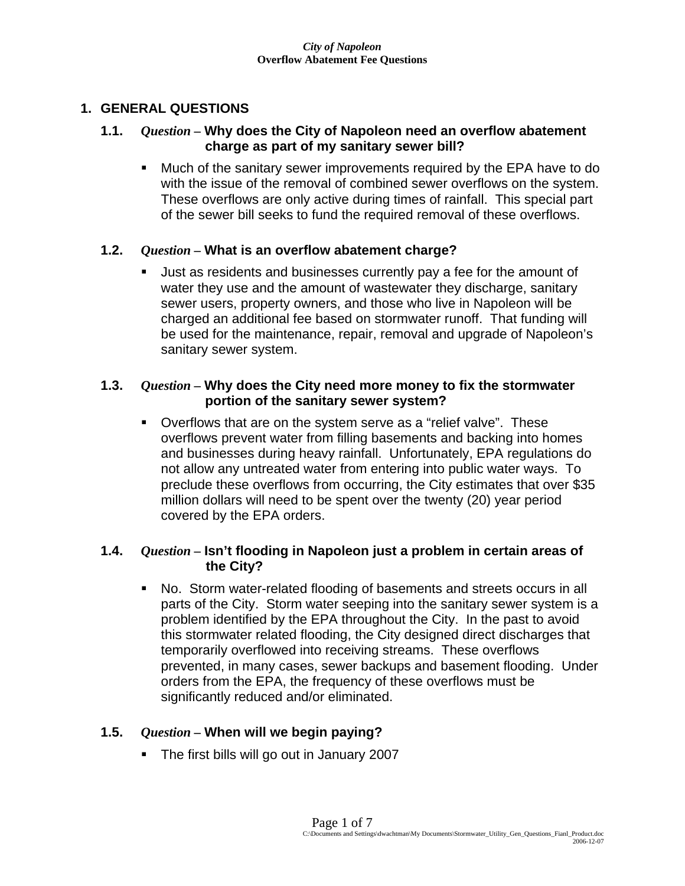## **1. GENERAL QUESTIONS**

## **1.1.** *Question –* **Why does the City of Napoleon need an overflow abatement charge as part of my sanitary sewer bill?**

**Much of the sanitary sewer improvements required by the EPA have to do** with the issue of the removal of combined sewer overflows on the system. These overflows are only active during times of rainfall. This special part of the sewer bill seeks to fund the required removal of these overflows.

### **1.2.** *Question –* **What is an overflow abatement charge?**

 Just as residents and businesses currently pay a fee for the amount of water they use and the amount of wastewater they discharge, sanitary sewer users, property owners, and those who live in Napoleon will be charged an additional fee based on stormwater runoff. That funding will be used for the maintenance, repair, removal and upgrade of Napoleon's sanitary sewer system.

## **1.3.** *Question –* **Why does the City need more money to fix the stormwater portion of the sanitary sewer system?**

 Overflows that are on the system serve as a "relief valve". These overflows prevent water from filling basements and backing into homes and businesses during heavy rainfall. Unfortunately, EPA regulations do not allow any untreated water from entering into public water ways. To preclude these overflows from occurring, the City estimates that over \$35 million dollars will need to be spent over the twenty (20) year period covered by the EPA orders.

## **1.4.** *Question –* **Isn't flooding in Napoleon just a problem in certain areas of the City?**

 No. Storm water-related flooding of basements and streets occurs in all parts of the City. Storm water seeping into the sanitary sewer system is a problem identified by the EPA throughout the City. In the past to avoid this stormwater related flooding, the City designed direct discharges that temporarily overflowed into receiving streams. These overflows prevented, in many cases, sewer backups and basement flooding. Under orders from the EPA, the frequency of these overflows must be significantly reduced and/or eliminated.

## **1.5.** *Question –* **When will we begin paying?**

The first bills will go out in January 2007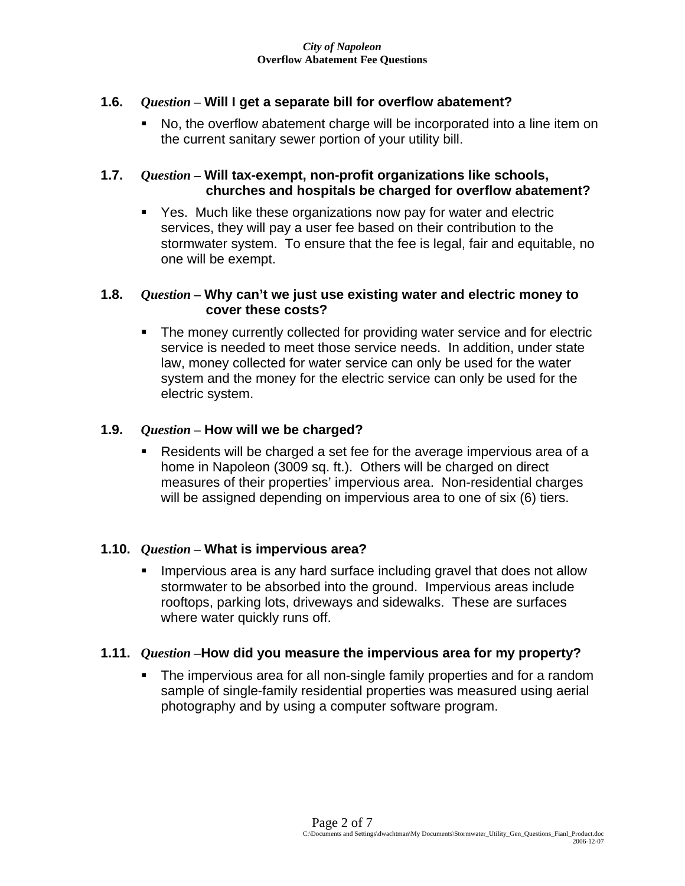## **1.6.** *Question –* **Will I get a separate bill for overflow abatement?**

 No, the overflow abatement charge will be incorporated into a line item on the current sanitary sewer portion of your utility bill.

## **1.7.** *Question –* **Will tax-exempt, non-profit organizations like schools, churches and hospitals be charged for overflow abatement?**

 Yes. Much like these organizations now pay for water and electric services, they will pay a user fee based on their contribution to the stormwater system. To ensure that the fee is legal, fair and equitable, no one will be exempt.

### **1.8.** *Question –* **Why can't we just use existing water and electric money to cover these costs?**

• The money currently collected for providing water service and for electric service is needed to meet those service needs. In addition, under state law, money collected for water service can only be used for the water system and the money for the electric service can only be used for the electric system.

## **1.9.** *Question –* **How will we be charged?**

 Residents will be charged a set fee for the average impervious area of a home in Napoleon (3009 sq. ft.). Others will be charged on direct measures of their properties' impervious area. Non-residential charges will be assigned depending on impervious area to one of six (6) tiers.

### **1.10.** *Question –* **What is impervious area?**

**IMPER** 19 Impervious area is any hard surface including gravel that does not allow stormwater to be absorbed into the ground. Impervious areas include rooftops, parking lots, driveways and sidewalks. These are surfaces where water quickly runs off.

### **1.11.** *Question –***How did you measure the impervious area for my property?**

 The impervious area for all non-single family properties and for a random sample of single-family residential properties was measured using aerial photography and by using a computer software program.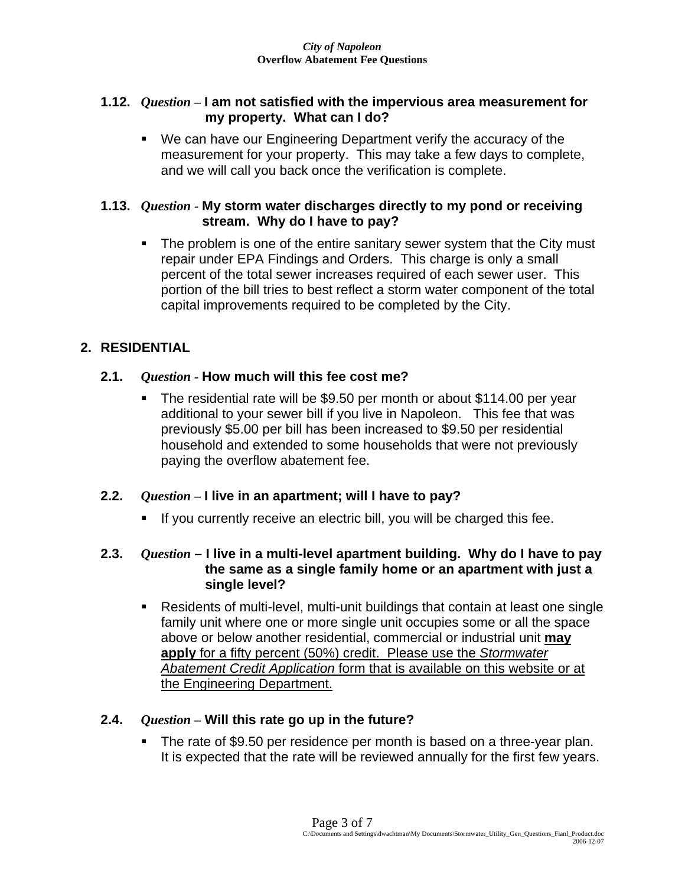## **1.12.** *Question –* **I am not satisfied with the impervious area measurement for my property. What can I do?**

 We can have our Engineering Department verify the accuracy of the measurement for your property. This may take a few days to complete, and we will call you back once the verification is complete.

## **1.13.** *Question -* **My storm water discharges directly to my pond or receiving stream. Why do I have to pay?**

• The problem is one of the entire sanitary sewer system that the City must repair under EPA Findings and Orders. This charge is only a small percent of the total sewer increases required of each sewer user. This portion of the bill tries to best reflect a storm water component of the total capital improvements required to be completed by the City.

# **2. RESIDENTIAL**

## **2.1.** *Question -* **How much will this fee cost me?**

 The residential rate will be \$9.50 per month or about \$114.00 per year additional to your sewer bill if you live in Napoleon. This fee that was previously \$5.00 per bill has been increased to \$9.50 per residential household and extended to some households that were not previously paying the overflow abatement fee.

# **2.2.** *Question –* **I live in an apartment; will I have to pay?**

If you currently receive an electric bill, you will be charged this fee.

## **2.3.** *Question* **– I live in a multi-level apartment building. Why do I have to pay the same as a single family home or an apartment with just a single level?**

 Residents of multi-level, multi-unit buildings that contain at least one single family unit where one or more single unit occupies some or all the space above or below another residential, commercial or industrial unit **may apply** for a fifty percent (50%) credit. Please use the *Stormwater Abatement Credit Application* form that is available on this website or at the Engineering Department.

## **2.4.** *Question –* **Will this rate go up in the future?**

 The rate of \$9.50 per residence per month is based on a three-year plan. It is expected that the rate will be reviewed annually for the first few years.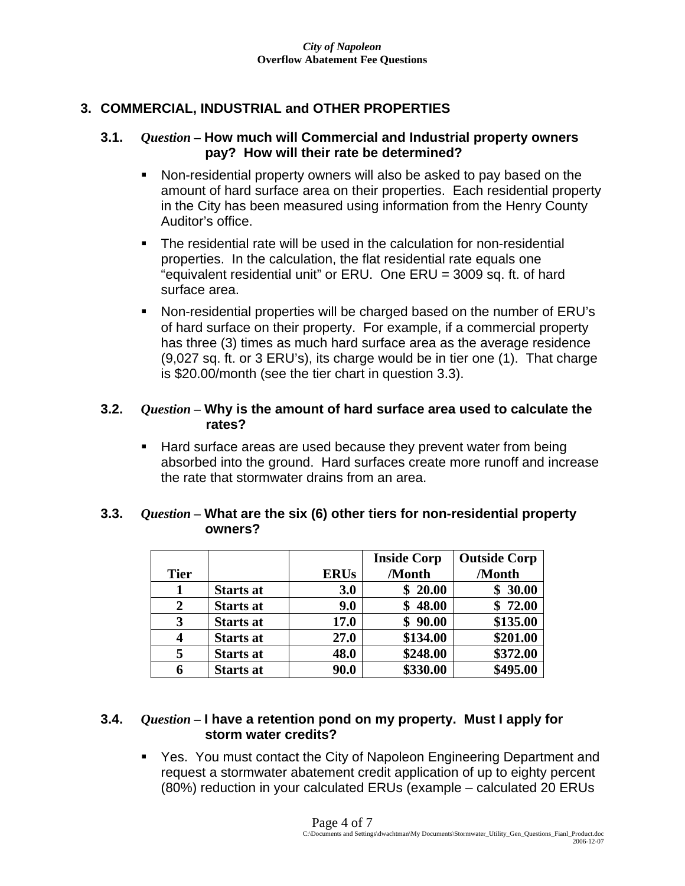## **3. COMMERCIAL, INDUSTRIAL and OTHER PROPERTIES**

### **3.1.** *Question –* **How much will Commercial and Industrial property owners pay? How will their rate be determined?**

- Non-residential property owners will also be asked to pay based on the amount of hard surface area on their properties. Each residential property in the City has been measured using information from the Henry County Auditor's office.
- The residential rate will be used in the calculation for non-residential properties. In the calculation, the flat residential rate equals one "equivalent residential unit" or ERU. One ERU = 3009 sq. ft. of hard surface area.
- Non-residential properties will be charged based on the number of ERU's of hard surface on their property. For example, if a commercial property has three (3) times as much hard surface area as the average residence (9,027 sq. ft. or 3 ERU's), its charge would be in tier one (1). That charge is \$20.00/month (see the tier chart in question 3.3).

## **3.2.** *Question –* **Why is the amount of hard surface area used to calculate the rates?**

■ Hard surface areas are used because they prevent water from being absorbed into the ground. Hard surfaces create more runoff and increase the rate that stormwater drains from an area.

|             |                  |             | <b>Inside Corp</b> | <b>Outside Corp</b> |
|-------------|------------------|-------------|--------------------|---------------------|
| <b>Tier</b> |                  | <b>ERUs</b> | /Month             | /Month              |
|             | <b>Starts at</b> | 3.0         | \$20.00            | \$30.00             |
| 2           | <b>Starts at</b> | 9.0         | 48.00              | \$72.00             |
| 3           | <b>Starts at</b> | 17.0        | \$90.00            | \$135.00            |
|             | <b>Starts at</b> | 27.0        | \$134.00           | \$201.00            |
| 5           | <b>Starts at</b> | 48.0        | \$248.00           | \$372.00            |
|             | <b>Starts at</b> | 90.0        | \$330.00           | \$495.00            |

### **3.3.** *Question –* **What are the six (6) other tiers for non-residential property owners?**

#### **3.4.** *Question –* **I have a retention pond on my property. Must I apply for storm water credits?**

 Yes. You must contact the City of Napoleon Engineering Department and request a stormwater abatement credit application of up to eighty percent (80%) reduction in your calculated ERUs (example – calculated 20 ERUs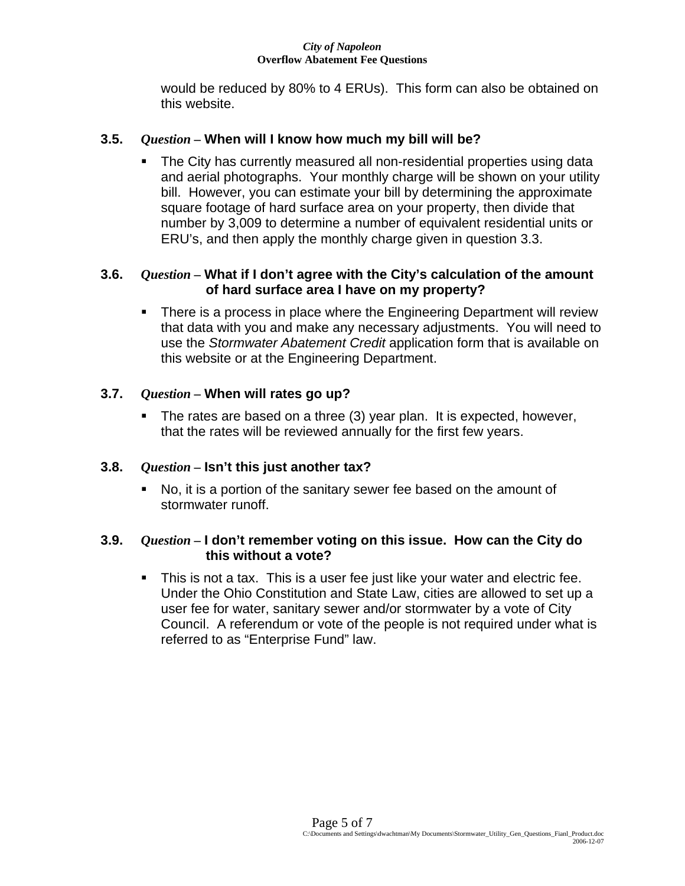#### *City of Napoleon*  **Overflow Abatement Fee Questions**

would be reduced by 80% to 4 ERUs). This form can also be obtained on this website.

## **3.5.** *Question –* **When will I know how much my bill will be?**

 The City has currently measured all non-residential properties using data and aerial photographs. Your monthly charge will be shown on your utility bill. However, you can estimate your bill by determining the approximate square footage of hard surface area on your property, then divide that number by 3,009 to determine a number of equivalent residential units or ERU's, and then apply the monthly charge given in question 3.3.

## **3.6.** *Question –* **What if I don't agree with the City's calculation of the amount of hard surface area I have on my property?**

 There is a process in place where the Engineering Department will review that data with you and make any necessary adjustments. You will need to use the *Stormwater Abatement Credit* application form that is available on this website or at the Engineering Department.

## **3.7.** *Question –* **When will rates go up?**

 The rates are based on a three (3) year plan. It is expected, however, that the rates will be reviewed annually for the first few years.

# **3.8.** *Question –* **Isn't this just another tax?**

 No, it is a portion of the sanitary sewer fee based on the amount of stormwater runoff.

## **3.9.** *Question –* **I don't remember voting on this issue. How can the City do this without a vote?**

This is not a tax. This is a user fee just like your water and electric fee. Under the Ohio Constitution and State Law, cities are allowed to set up a user fee for water, sanitary sewer and/or stormwater by a vote of City Council. A referendum or vote of the people is not required under what is referred to as "Enterprise Fund" law.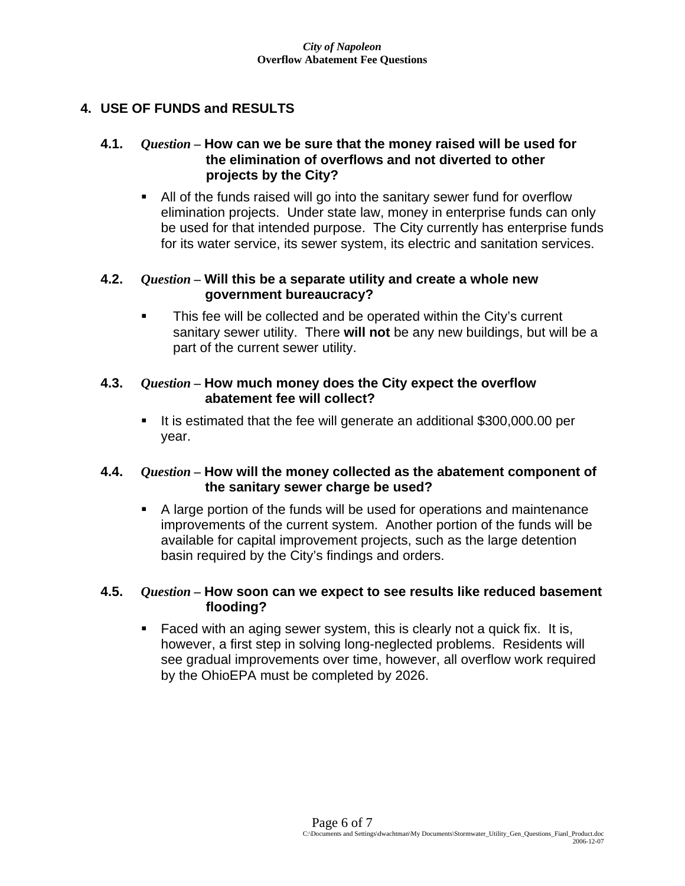## **4. USE OF FUNDS and RESULTS**

### **4.1.** *Question –* **How can we be sure that the money raised will be used for the elimination of overflows and not diverted to other projects by the City?**

 All of the funds raised will go into the sanitary sewer fund for overflow elimination projects. Under state law, money in enterprise funds can only be used for that intended purpose. The City currently has enterprise funds for its water service, its sewer system, its electric and sanitation services.

## **4.2.** *Question –* **Will this be a separate utility and create a whole new government bureaucracy?**

• This fee will be collected and be operated within the City's current sanitary sewer utility. There **will not** be any new buildings, but will be a part of the current sewer utility.

## **4.3.** *Question –* **How much money does the City expect the overflow abatement fee will collect?**

It is estimated that the fee will generate an additional \$300,000.00 per year.

## **4.4.** *Question –* **How will the money collected as the abatement component of the sanitary sewer charge be used?**

 A large portion of the funds will be used for operations and maintenance improvements of the current system. Another portion of the funds will be available for capital improvement projects, such as the large detention basin required by the City's findings and orders.

### **4.5.** *Question –* **How soon can we expect to see results like reduced basement flooding?**

 Faced with an aging sewer system, this is clearly not a quick fix. It is, however, a first step in solving long-neglected problems. Residents will see gradual improvements over time, however, all overflow work required by the OhioEPA must be completed by 2026.